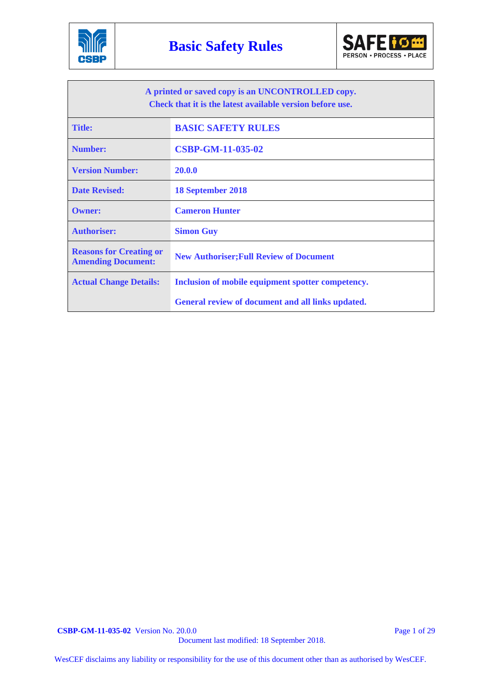



| A printed or saved copy is an UNCONTROLLED copy.<br>Check that it is the latest available version before use. |                                                   |  |  |
|---------------------------------------------------------------------------------------------------------------|---------------------------------------------------|--|--|
| <b>Title:</b>                                                                                                 | <b>BASIC SAFETY RULES</b>                         |  |  |
| <b>Number:</b>                                                                                                | <b>CSBP-GM-11-035-02</b>                          |  |  |
| <b>Version Number:</b>                                                                                        | 20.0.0                                            |  |  |
| <b>Date Revised:</b>                                                                                          | <b>18 September 2018</b>                          |  |  |
| <b>Owner:</b>                                                                                                 | <b>Cameron Hunter</b>                             |  |  |
| <b>Authoriser:</b>                                                                                            | <b>Simon Guy</b>                                  |  |  |
| <b>Reasons for Creating or</b><br><b>Amending Document:</b>                                                   | <b>New Authoriser; Full Review of Document</b>    |  |  |
| <b>Actual Change Details:</b>                                                                                 | Inclusion of mobile equipment spotter competency. |  |  |
|                                                                                                               | General review of document and all links updated. |  |  |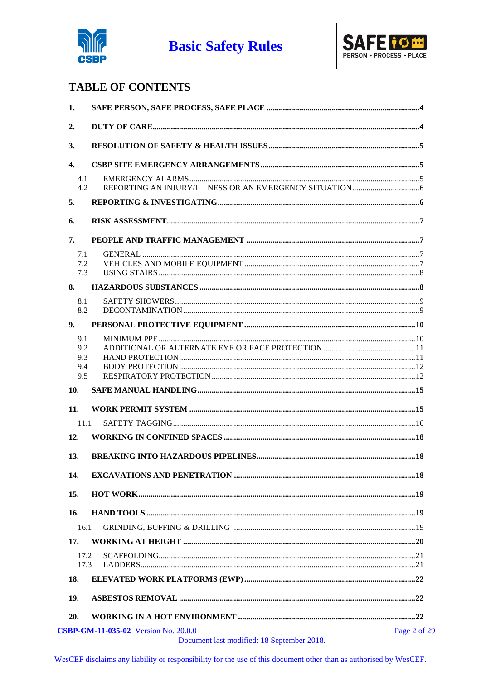



## **TABLE OF CONTENTS**

| 1.           |                                                                                           |              |
|--------------|-------------------------------------------------------------------------------------------|--------------|
| 2.           |                                                                                           |              |
| 3.           |                                                                                           |              |
| 4.           |                                                                                           |              |
| 4.1<br>4.2   |                                                                                           |              |
| 5.           |                                                                                           |              |
| 6.           |                                                                                           |              |
| 7.           |                                                                                           |              |
| 7.1          |                                                                                           |              |
| 7.2          |                                                                                           |              |
| 7.3          |                                                                                           |              |
| 8.           |                                                                                           |              |
| 8.1          |                                                                                           |              |
| 8.2          |                                                                                           |              |
| 9.           |                                                                                           |              |
| 9.1          |                                                                                           |              |
| 9.2          |                                                                                           |              |
| 9.3          |                                                                                           |              |
| 9.4          |                                                                                           |              |
| 9.5          |                                                                                           |              |
| 10.          |                                                                                           |              |
| 11.          |                                                                                           |              |
| 11.1         |                                                                                           |              |
| 12.          |                                                                                           |              |
| 13.          |                                                                                           |              |
| 14.          |                                                                                           |              |
| 15.          |                                                                                           |              |
| 16.          |                                                                                           |              |
| 16.1         |                                                                                           |              |
| 17.          |                                                                                           |              |
|              |                                                                                           |              |
| 17.2<br>17.3 |                                                                                           |              |
| 18.          |                                                                                           |              |
| 19.          |                                                                                           |              |
| 20.          |                                                                                           |              |
|              |                                                                                           |              |
|              | <b>CSBP-GM-11-035-02</b> Version No. 20.0.0<br>Document last modified: 18 September 2018. | Page 2 of 29 |
|              |                                                                                           |              |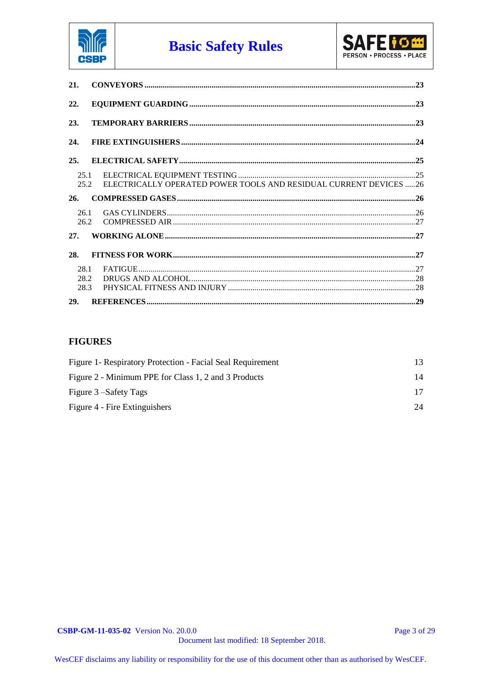



| 21.                  |                                                                   |
|----------------------|-------------------------------------------------------------------|
| 22.                  |                                                                   |
| 23.                  |                                                                   |
| 24.                  |                                                                   |
| 25.                  |                                                                   |
| 25.1<br>25.2         | ELECTRICALLY OPERATED POWER TOOLS AND RESIDUAL CURRENT DEVICES 26 |
| 26.                  |                                                                   |
| 26.1<br>26.2         |                                                                   |
| 27.                  |                                                                   |
| 28.                  |                                                                   |
| 28.1<br>28.2<br>28.3 |                                                                   |
| <b>29.</b>           |                                                                   |

#### **FIGURES**

| Figure 1- Respiratory Protection - Facial Seal Requirement |    |
|------------------------------------------------------------|----|
| Figure 2 - Minimum PPE for Class 1, 2 and 3 Products       | 14 |
| Figure 3 – Safety Tags                                     |    |
| Figure 4 - Fire Extinguishers                              | 24 |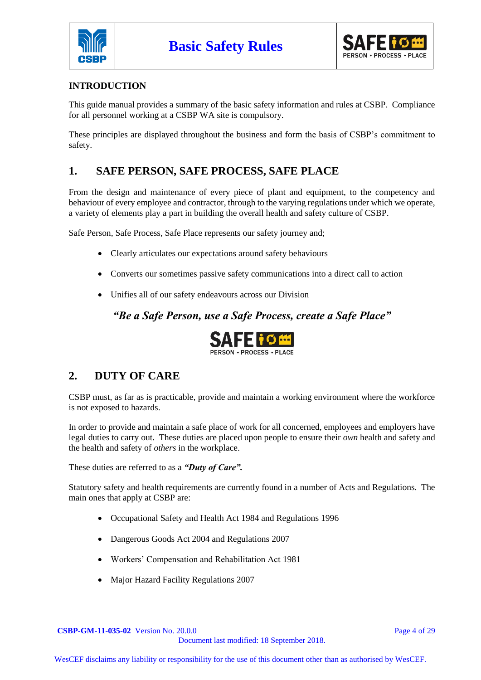



#### **INTRODUCTION**

This guide manual provides a summary of the basic safety information and rules at CSBP. Compliance for all personnel working at a CSBP WA site is compulsory.

These principles are displayed throughout the business and form the basis of CSBP's commitment to safety.

## **1. SAFE PERSON, SAFE PROCESS, SAFE PLACE**

From the design and maintenance of every piece of plant and equipment, to the competency and behaviour of every employee and contractor, through to the varying regulations under which we operate, a variety of elements play a part in building the overall health and safety culture of CSBP.

Safe Person, Safe Process, Safe Place represents our safety journey and;

- Clearly articulates our expectations around safety behaviours
- Converts our sometimes passive safety communications into a direct call to action
- Unifies all of our safety endeavours across our Division

*"Be a Safe Person, use a Safe Process, create a Safe Place"*



## **2. DUTY OF CARE**

CSBP must, as far as is practicable, provide and maintain a working environment where the workforce is not exposed to hazards.

In order to provide and maintain a safe place of work for all concerned, employees and employers have legal duties to carry out. These duties are placed upon people to ensure their *own* health and safety and the health and safety of *others* in the workplace.

These duties are referred to as a *"Duty of Care".*

Statutory safety and health requirements are currently found in a number of Acts and Regulations. The main ones that apply at CSBP are:

- Occupational Safety and Health Act 1984 and Regulations 1996
- Dangerous Goods Act 2004 and Regulations 2007
- Workers' Compensation and Rehabilitation Act 1981
- Major Hazard Facility Regulations 2007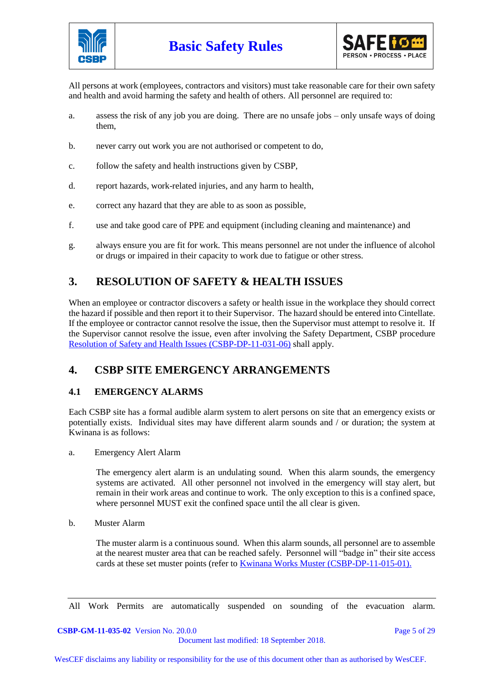



All persons at work (employees, contractors and visitors) must take reasonable care for their own safety and health and avoid harming the safety and health of others. All personnel are required to:

- a. assess the risk of any job you are doing. There are no unsafe jobs only unsafe ways of doing them,
- b. never carry out work you are not authorised or competent to do,
- c. follow the safety and health instructions given by CSBP,
- d. report hazards, work-related injuries, and any harm to health,
- e. correct any hazard that they are able to as soon as possible,
- f. use and take good care of PPE and equipment (including cleaning and maintenance) and
- g. always ensure you are fit for work. This means personnel are not under the influence of alcohol or drugs or impaired in their capacity to work due to fatigue or other stress.

## **3. RESOLUTION OF SAFETY & HEALTH ISSUES**

When an employee or contractor discovers a safety or health issue in the workplace they should correct the hazard if possible and then report it to their Supervisor. The hazard should be entered into Cintellate. If the employee or contractor cannot resolve the issue, then the Supervisor must attempt to resolve it. If the Supervisor cannot resolve the issue, even after involving the Safety Department, CSBP procedure [Resolution of Safety and Health Issues \(CSBP-DP-11-031-06\)](http://docova.wescef.com.au/docova/web/app.php/Docova/wHomeFrame?ReadForm&goto=9D2D1B6E-19E1-446A-81B4-D9516EFF1805,57E0A8C0-E809-40E2-ADCC-3C5E537BF52D,2853FE3D-D460-4793-B0F2-12EC0E51CF90&LatestRelease=true) shall apply.

## **4. CSBP SITE EMERGENCY ARRANGEMENTS**

#### **4.1 EMERGENCY ALARMS**

Each CSBP site has a formal audible alarm system to alert persons on site that an emergency exists or potentially exists. Individual sites may have different alarm sounds and / or duration; the system at Kwinana is as follows:

a. Emergency Alert Alarm

The emergency alert alarm is an undulating sound. When this alarm sounds, the emergency systems are activated. All other personnel not involved in the emergency will stay alert, but remain in their work areas and continue to work. The only exception to this is a confined space, where personnel MUST exit the confined space until the all clear is given.

b. Muster Alarm

The muster alarm is a continuous sound. When this alarm sounds, all personnel are to assemble at the nearest muster area that can be reached safely. Personnel will "badge in" their site access cards at these set muster points (refer to [Kwinana Works Muster \(CSBP-DP-11-015-01\).](http://docova.wescef.com.au/docova/web/app.php/Docova/wHomeFrame?ReadForm&goto=CCF7CD21-8E00-45E4-9257-E7812F446C8C,0F0D4095-FD00-4FBB-845C-3C9FB161A131,2C05939D-D6C7-494C-9EF2-4377FD42955D&LatestRelease=true)

All Work Permits are automatically suspended on sounding of the evacuation alarm.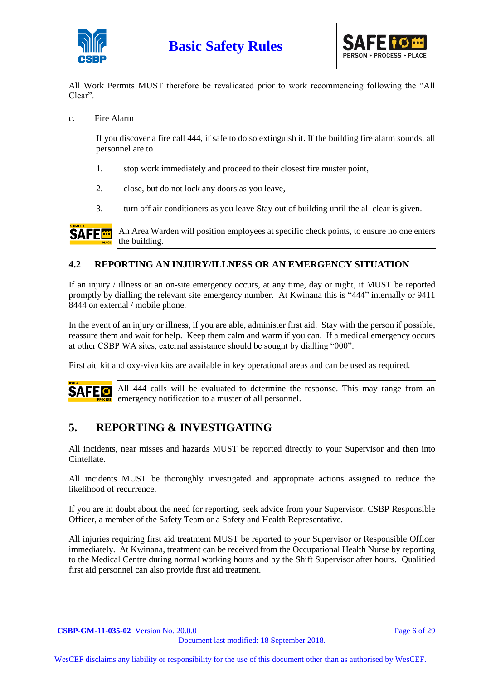



All Work Permits MUST therefore be revalidated prior to work recommencing following the "All Clear".

c. Fire Alarm

If you discover a fire call 444, if safe to do so extinguish it. If the building fire alarm sounds, all personnel are to

- 1. stop work immediately and proceed to their closest fire muster point,
- 2. close, but do not lock any doors as you leave,
- 3. turn off air conditioners as you leave Stay out of building until the all clear is given.

An Area Warden will position employees at specific check points, to ensure no one enters **SAFE<sup>E</sup>** the building.

#### **4.2 REPORTING AN INJURY/ILLNESS OR AN EMERGENCY SITUATION**

If an injury / illness or an on-site emergency occurs, at any time, day or night, it MUST be reported promptly by dialling the relevant site emergency number. At Kwinana this is "444" internally or 9411 8444 on external / mobile phone.

In the event of an injury or illness, if you are able, administer first aid. Stay with the person if possible, reassure them and wait for help. Keep them calm and warm if you can. If a medical emergency occurs at other CSBP WA sites, external assistance should be sought by dialling "000".

First aid kit and oxy-viva kits are available in key operational areas and can be used as required.

All 444 calls will be evaluated to determine the response. This may range from an SAFED emergency notification to a muster of all personnel.

## **5. REPORTING & INVESTIGATING**

All incidents, near misses and hazards MUST be reported directly to your Supervisor and then into Cintellate.

All incidents MUST be thoroughly investigated and appropriate actions assigned to reduce the likelihood of recurrence.

If you are in doubt about the need for reporting, seek advice from your Supervisor, CSBP Responsible Officer, a member of the Safety Team or a Safety and Health Representative.

All injuries requiring first aid treatment MUST be reported to your Supervisor or Responsible Officer immediately. At Kwinana, treatment can be received from the Occupational Health Nurse by reporting to the Medical Centre during normal working hours and by the Shift Supervisor after hours. Qualified first aid personnel can also provide first aid treatment.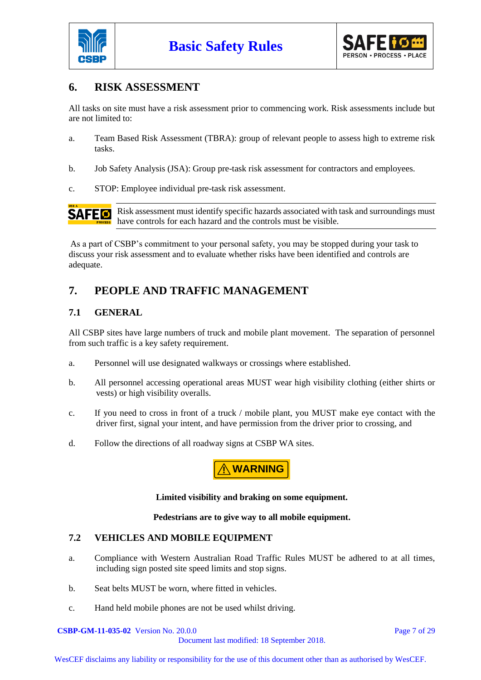



## **6. RISK ASSESSMENT**

All tasks on site must have a risk assessment prior to commencing work. Risk assessments include but are not limited to:

- a. Team Based Risk Assessment (TBRA): group of relevant people to assess high to extreme risk tasks.
- b. Job Safety Analysis (JSA): Group pre-task risk assessment for contractors and employees.
- c. STOP: Employee individual pre-task risk assessment.



Risk assessment must identify specific hazards associated with task and surroundings must have controls for each hazard and the controls must be visible.

As a part of CSBP's commitment to your personal safety, you may be stopped during your task to discuss your risk assessment and to evaluate whether risks have been identified and controls are adequate.

## **7. PEOPLE AND TRAFFIC MANAGEMENT**

#### **7.1 GENERAL**

All CSBP sites have large numbers of truck and mobile plant movement. The separation of personnel from such traffic is a key safety requirement.

- a. Personnel will use designated walkways or crossings where established.
- b. All personnel accessing operational areas MUST wear high visibility clothing (either shirts or vests) or high visibility overalls.
- c. If you need to cross in front of a truck / mobile plant, you MUST make eye contact with the driver first, signal your intent, and have permission from the driver prior to crossing, and
- d. Follow the directions of all roadway signs at CSBP WA sites.

**! WARNING**

#### **Limited visibility and braking on some equipment.**

#### **Pedestrians are to give way to all mobile equipment.**

#### **7.2 VEHICLES AND MOBILE EQUIPMENT**

- a. Compliance with Western Australian Road Traffic Rules MUST be adhered to at all times, including sign posted site speed limits and stop signs.
- b. Seat belts MUST be worn, where fitted in vehicles.
- c. Hand held mobile phones are not be used whilst driving.

**CSBP-GM-11-035-02** Version No. 20.0.0 **Page 7 of 29** Page 7 of 29

Document last modified: 18 September 2018.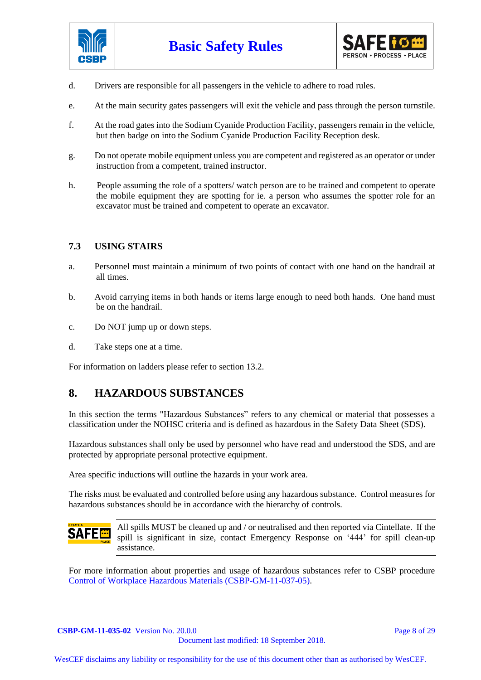



- d. Drivers are responsible for all passengers in the vehicle to adhere to road rules.
- e. At the main security gates passengers will exit the vehicle and pass through the person turnstile.
- f. At the road gates into the Sodium Cyanide Production Facility, passengers remain in the vehicle, but then badge on into the Sodium Cyanide Production Facility Reception desk.
- g. Do not operate mobile equipment unless you are competent and registered as an operator or under instruction from a competent, trained instructor.
- h. People assuming the role of a spotters/ watch person are to be trained and competent to operate the mobile equipment they are spotting for ie. a person who assumes the spotter role for an excavator must be trained and competent to operate an excavator.

#### **7.3 USING STAIRS**

- a. Personnel must maintain a minimum of two points of contact with one hand on the handrail at all times.
- b. Avoid carrying items in both hands or items large enough to need both hands. One hand must be on the handrail.
- c. Do NOT jump up or down steps.
- d. Take steps one at a time.

For information on ladders please refer to section 13.2.

#### **8. HAZARDOUS SUBSTANCES**

In this section the terms "Hazardous Substances" refers to any chemical or material that possesses a classification under the NOHSC criteria and is defined as hazardous in the Safety Data Sheet (SDS).

Hazardous substances shall only be used by personnel who have read and understood the SDS, and are protected by appropriate personal protective equipment.

Area specific inductions will outline the hazards in your work area.

The risks must be evaluated and controlled before using any hazardous substance. Control measures for hazardous substances should be in accordance with the hierarchy of controls.



All spills MUST be cleaned up and / or neutralised and then reported via Cintellate. If the spill is significant in size, contact Emergency Response on '444' for spill clean-up assistance.

For more information about properties and usage of hazardous substances refer to CSBP procedure [Control of Workplace Hazardous Materials \(CSBP-GM-11-037-05\).](http://docova.wescef.com.au/docova/web/app.php/Docova/wHomeFrame?ReadForm&goto=9D2D1B6E-19E1-446A-81B4-D9516EFF1805,0E9C4907-907D-417F-94B6-39B6F22F0BDC,307A35A1-A6A2-43AD-8858-A9DDB583D233&LatestRelease=true)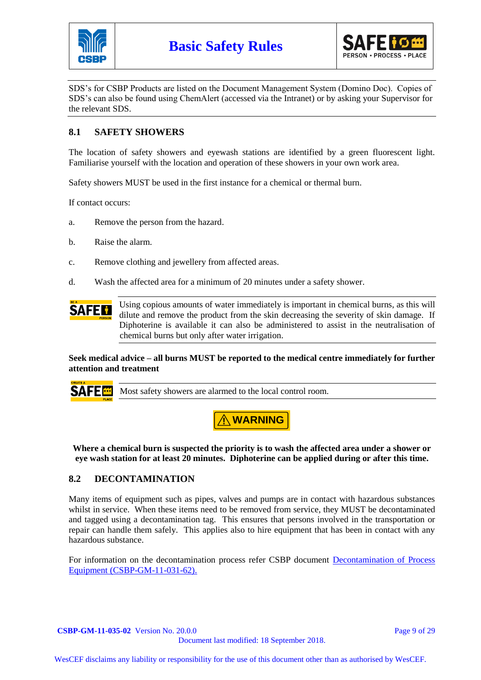



SDS's for CSBP Products are listed on the Document Management System (Domino Doc). Copies of SDS's can also be found using ChemAlert (accessed via the Intranet) or by asking your Supervisor for the relevant SDS.

#### **8.1 SAFETY SHOWERS**

The location of safety showers and eyewash stations are identified by a green fluorescent light. Familiarise yourself with the location and operation of these showers in your own work area.

Safety showers MUST be used in the first instance for a chemical or thermal burn.

If contact occurs:

- a. Remove the person from the hazard.
- b. Raise the alarm.
- c. Remove clothing and jewellery from affected areas.
- d. Wash the affected area for a minimum of 20 minutes under a safety shower.

Using copious amounts of water immediately is important in chemical burns, as this will **SAFEM** dilute and remove the product from the skin decreasing the severity of skin damage. If Diphoterine is available it can also be administered to assist in the neutralisation of chemical burns but only after water irrigation.

**Seek medical advice – all burns MUST be reported to the medical centre immediately for further attention and treatment** 

**SAFE** 

Most safety showers are alarmed to the local control room.



**Where a chemical burn is suspected the priority is to wash the affected area under a shower or eye wash station for at least 20 minutes. Diphoterine can be applied during or after this time.**

#### **8.2 DECONTAMINATION**

Many items of equipment such as pipes, valves and pumps are in contact with hazardous substances whilst in service. When these items need to be removed from service, they MUST be decontaminated and tagged using a decontamination tag. This ensures that persons involved in the transportation or repair can handle them safely. This applies also to hire equipment that has been in contact with any hazardous substance.

For information on the decontamination process refer CSBP document [Decontamination of Process](http://docova.wescef.com.au/docova/web/app.php/Docova/wHomeFrame?ReadForm&goto=9D2D1B6E-19E1-446A-81B4-D9516EFF1805,0E9C4907-907D-417F-94B6-39B6F22F0BDC,0A9E1EFA-8094-4841-A50A-188BE7B6BFF6&LatestRelease=true)  [Equipment \(CSBP-GM-11-031-62\).](http://docova.wescef.com.au/docova/web/app.php/Docova/wHomeFrame?ReadForm&goto=9D2D1B6E-19E1-446A-81B4-D9516EFF1805,0E9C4907-907D-417F-94B6-39B6F22F0BDC,0A9E1EFA-8094-4841-A50A-188BE7B6BFF6&LatestRelease=true)

**CSBP-GM-11-035-02** Version No. 20.0.0 **Page 9 of 29** Page 9 of 29 Document last modified: 18 September 2018.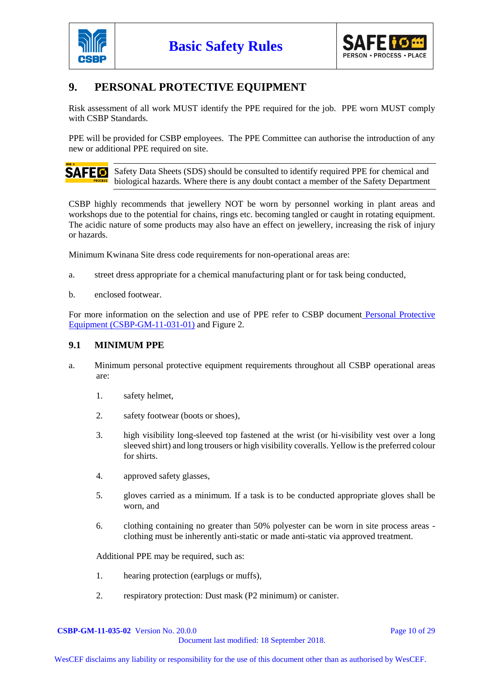



## **9. PERSONAL PROTECTIVE EQUIPMENT**

Risk assessment of all work MUST identify the PPE required for the job. PPE worn MUST comply with CSBP Standards.

PPE will be provided for CSBP employees. The PPE Committee can authorise the introduction of any new or additional PPE required on site.

**SAFE 6** Safety Data Sheets (SDS) should be consulted to identify required PPE for chemical and biological hazards. Where there is any doubt contact a member of the Safety Department

CSBP highly recommends that jewellery NOT be worn by personnel working in plant areas and workshops due to the potential for chains, rings etc. becoming tangled or caught in rotating equipment. The acidic nature of some products may also have an effect on jewellery, increasing the risk of injury or hazards.

Minimum Kwinana Site dress code requirements for non-operational areas are:

- a. street dress appropriate for a chemical manufacturing plant or for task being conducted,
- b. enclosed footwear.

For more information on the selection and use of PPE refer to CSBP document [Personal Protective](http://docova.wescef.com.au/docova/web/app.php/Docova/wHomeFrame?ReadForm&goto=9D2D1B6E-19E1-446A-81B4-D9516EFF1805,121BF8D0-7DB6-40D3-AF04-F6A96250A393,39EDB007-AA40-429D-AFBA-5C73A6EC6CF8&LatestRelease=true)  [Equipment \(CSBP-GM-11-031-01\)](http://docova.wescef.com.au/docova/web/app.php/Docova/wHomeFrame?ReadForm&goto=9D2D1B6E-19E1-446A-81B4-D9516EFF1805,121BF8D0-7DB6-40D3-AF04-F6A96250A393,39EDB007-AA40-429D-AFBA-5C73A6EC6CF8&LatestRelease=true) and Figure 2.

#### **9.1 MINIMUM PPE**

- a. Minimum personal protective equipment requirements throughout all CSBP operational areas are:
	- 1. safety helmet,
	- 2. safety footwear (boots or shoes),
	- 3. high visibility long-sleeved top fastened at the wrist (or hi-visibility vest over a long sleeved shirt) and long trousers or high visibility coveralls. Yellow is the preferred colour for shirts.
	- 4. approved safety glasses,
	- 5. gloves carried as a minimum. If a task is to be conducted appropriate gloves shall be worn, and
	- 6. clothing containing no greater than 50% polyester can be worn in site process areas clothing must be inherently anti-static or made anti-static via approved treatment.

Additional PPE may be required, such as:

- 1. hearing protection (earplugs or muffs),
- 2. respiratory protection: Dust mask (P2 minimum) or canister.

**CSBP-GM-11-035-02** Version No. 20.0.0 **Page 10 of 29** Page 10 of 29 Document last modified: 18 September 2018.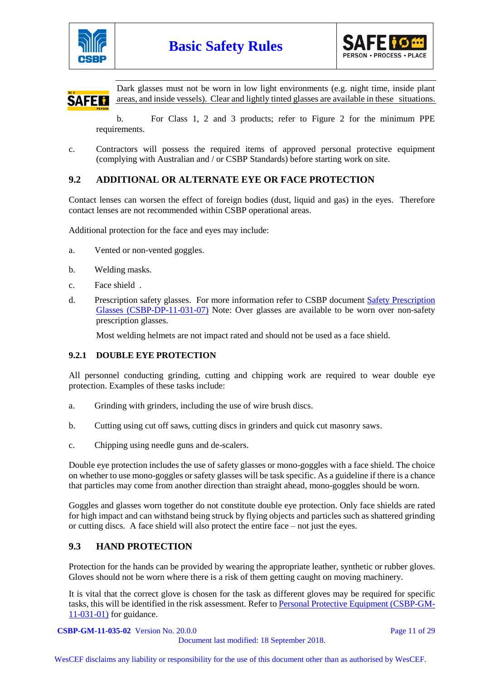



Dark glasses must not be worn in low light environments (e.g. night time, inside plant areas, and inside vessels). Clear and lightly tinted glasses are available in these situations. **SAFEM** 

b. For Class 1, 2 and 3 products; refer to Figure 2 for the minimum PPE requirements.

c. Contractors will possess the required items of approved personal protective equipment (complying with Australian and / or CSBP Standards) before starting work on site.

#### **9.2 ADDITIONAL OR ALTERNATE EYE OR FACE PROTECTION**

Contact lenses can worsen the effect of foreign bodies (dust, liquid and gas) in the eyes. Therefore contact lenses are not recommended within CSBP operational areas.

Additional protection for the face and eyes may include:

- a. Vented or non-vented goggles.
- b. Welding masks.
- c. Face shield .
- d. Prescription safety glasses. For more information refer to CSBP document [Safety Prescription](http://docova.wescef.com.au/docova/web/app.php/Docova/wHomeFrame?ReadForm&goto=9D2D1B6E-19E1-446A-81B4-D9516EFF1805,121BF8D0-7DB6-40D3-AF04-F6A96250A393,B5B76997-F4C3-4785-A0E2-810035FE734A&LatestRelease=true)  [Glasses \(CSBP-DP-11-031-07\)](http://docova.wescef.com.au/docova/web/app.php/Docova/wHomeFrame?ReadForm&goto=9D2D1B6E-19E1-446A-81B4-D9516EFF1805,121BF8D0-7DB6-40D3-AF04-F6A96250A393,B5B76997-F4C3-4785-A0E2-810035FE734A&LatestRelease=true) Note: Over glasses are available to be worn over non-safety prescription glasses.

Most welding helmets are not impact rated and should not be used as a face shield.

#### **9.2.1 DOUBLE EYE PROTECTION**

All personnel conducting grinding, cutting and chipping work are required to wear double eye protection. Examples of these tasks include:

- a. Grinding with grinders, including the use of wire brush discs.
- b. Cutting using cut off saws, cutting discs in grinders and quick cut masonry saws.
- c. Chipping using needle guns and de-scalers.

Double eye protection includes the use of safety glasses or mono-goggles with a face shield. The choice on whether to use mono-goggles or safety glasses will be task specific. As a guideline if there is a chance that particles may come from another direction than straight ahead, mono-goggles should be worn.

Goggles and glasses worn together do not constitute double eye protection. Only face shields are rated for high impact and can withstand being struck by flying objects and particles such as shattered grinding or cutting discs. A face shield will also protect the entire face – not just the eyes.

#### **9.3 HAND PROTECTION**

Protection for the hands can be provided by wearing the appropriate leather, synthetic or rubber gloves. Gloves should not be worn where there is a risk of them getting caught on moving machinery.

It is vital that the correct glove is chosen for the task as different gloves may be required for specific tasks, this will be identified in the risk assessment. Refer to [Personal Protective Equipment \(CSBP-GM-](http://docova.wescef.com.au/docova/web/app.php/Docova/wHomeFrame?ReadForm&goto=9D2D1B6E-19E1-446A-81B4-D9516EFF1805,121BF8D0-7DB6-40D3-AF04-F6A96250A393,39EDB007-AA40-429D-AFBA-5C73A6EC6CF8&LatestRelease=true)[11-031-01\)](http://docova.wescef.com.au/docova/web/app.php/Docova/wHomeFrame?ReadForm&goto=9D2D1B6E-19E1-446A-81B4-D9516EFF1805,121BF8D0-7DB6-40D3-AF04-F6A96250A393,39EDB007-AA40-429D-AFBA-5C73A6EC6CF8&LatestRelease=true) for guidance.

**CSBP-GM-11-035-02** Version No. 20.0.0 Page 11 of 29

Document last modified: 18 September 2018.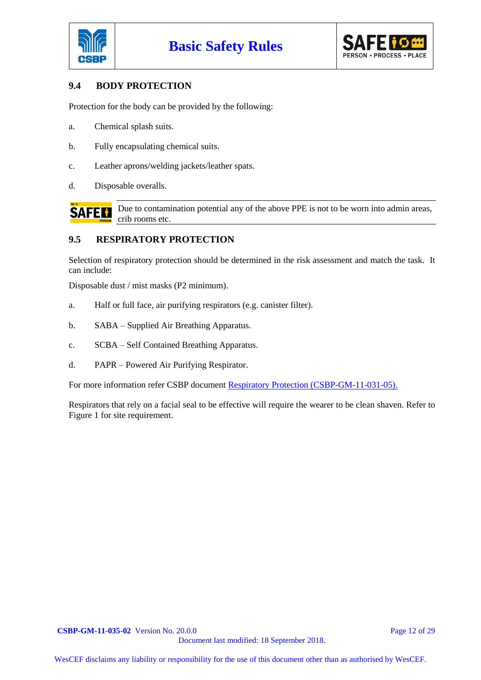



#### **9.4 BODY PROTECTION**

Protection for the body can be provided by the following:

- a. Chemical splash suits.
- b. Fully encapsulating chemical suits.
- c. Leather aprons/welding jackets/leather spats.
- d. Disposable overalls.

**SAFEM** 

Due to contamination potential any of the above PPE is not to be worn into admin areas, crib rooms etc.

#### **9.5 RESPIRATORY PROTECTION**

Selection of respiratory protection should be determined in the risk assessment and match the task. It can include:

Disposable dust / mist masks (P2 minimum).

- a. Half or full face, air purifying respirators (e.g. canister filter).
- b. SABA Supplied Air Breathing Apparatus.
- c. SCBA Self Contained Breathing Apparatus.
- d. PAPR Powered Air Purifying Respirator.

For more information refer CSBP document [Respiratory Protection \(CSBP-GM-11-031-05\).](http://docova.wescef.com.au/docova/web/app.php/Docova/wHomeFrame?ReadForm&goto=9D2D1B6E-19E1-446A-81B4-D9516EFF1805,121BF8D0-7DB6-40D3-AF04-F6A96250A393,C09D8DB5-B9A6-492D-8DD4-FFDE59A5887F&LatestRelease=true)

Respirators that rely on a facial seal to be effective will require the wearer to be clean shaven. Refer to Figure 1 for site requirement.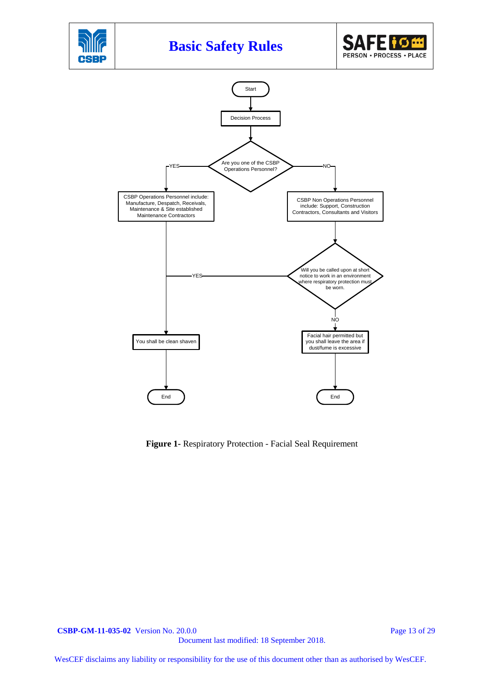

**Figure 1-** Respiratory Protection - Facial Seal Requirement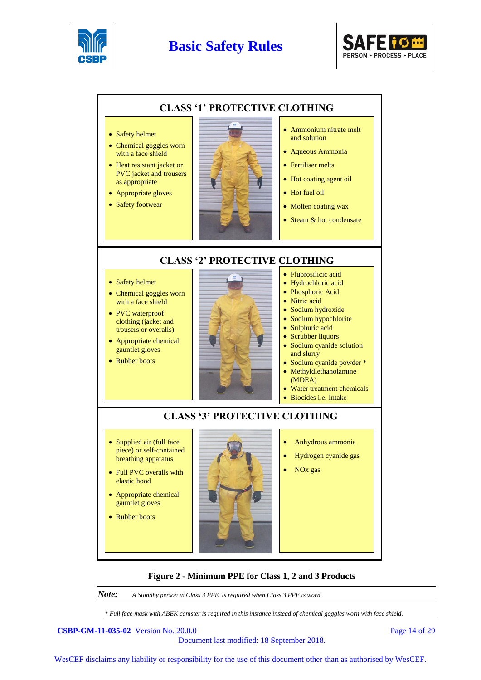

## **Basic Safety Rules**





#### **Figure 2 - Minimum PPE for Class 1, 2 and 3 Products**

*Note: A Standby person in Class 3 PPE is required when Class 3 PPE is worn*

*\* Full face mask with ABEK canister is required in this instance instead of chemical goggles worn with face shield.*

**CSBP-GM-11-035-02** Version No. 20.0.0 Page 14 of 29

Document last modified: 18 September 2018.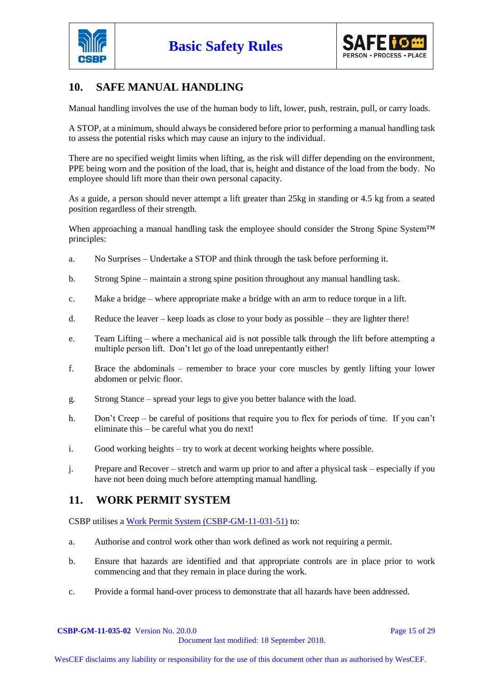



## **10. SAFE MANUAL HANDLING**

Manual handling involves the use of the human body to lift, lower, push, restrain, pull, or carry loads.

A STOP, at a minimum, should always be considered before prior to performing a manual handling task to assess the potential risks which may cause an injury to the individual.

There are no specified weight limits when lifting, as the risk will differ depending on the environment, PPE being worn and the position of the load, that is, height and distance of the load from the body. No employee should lift more than their own personal capacity.

As a guide, a person should never attempt a lift greater than 25kg in standing or 4.5 kg from a seated position regardless of their strength.

When approaching a manual handling task the employee should consider the Strong Spine System™ principles:

- a. No Surprises Undertake a STOP and think through the task before performing it.
- b. Strong Spine maintain a strong spine position throughout any manual handling task.
- c. Make a bridge where appropriate make a bridge with an arm to reduce torque in a lift.
- d. Reduce the leaver keep loads as close to your body as possible they are lighter there!
- e. Team Lifting where a mechanical aid is not possible talk through the lift before attempting a multiple person lift. Don't let go of the load unrepentantly either!
- f. Brace the abdominals remember to brace your core muscles by gently lifting your lower abdomen or pelvic floor.
- g. Strong Stance spread your legs to give you better balance with the load.
- h. Don't Creep be careful of positions that require you to flex for periods of time. If you can't eliminate this – be careful what you do next!
- i. Good working heights try to work at decent working heights where possible.
- j. Prepare and Recover stretch and warm up prior to and after a physical task especially if you have not been doing much before attempting manual handling.

#### **11. WORK PERMIT SYSTEM**

CSBP utilises a [Work Permit System \(CSBP-GM-11-031-51\)](http://docova.wescef.com.au/docova/web/app.php/Docova/wHomeFrame?ReadForm&goto=BACA47AB-D32E-4F16-811E-88F27CE8A09B,4B304F91-95AC-47FE-A61E-D8369A4D4D87,9705570B-6759-47E1-806B-DC1122F65D99&LatestRelease=true) to:

- a. Authorise and control work other than work defined as work not requiring a permit.
- b. Ensure that hazards are identified and that appropriate controls are in place prior to work commencing and that they remain in place during the work.
- c. Provide a formal hand-over process to demonstrate that all hazards have been addressed.

**CSBP-GM-11-035-02** Version No. 20.0.0 **Page 15 of 29** Page 15 of 29 Document last modified: 18 September 2018.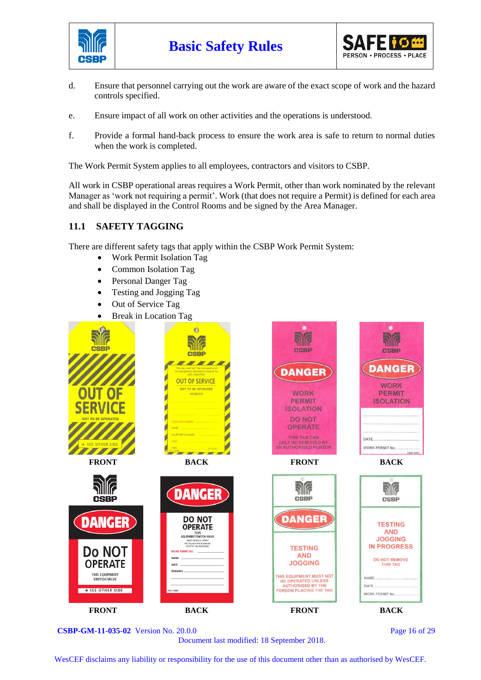



- d. Ensure that personnel carrying out the work are aware of the exact scope of work and the hazard controls specified.
- e. Ensure impact of all work on other activities and the operations is understood.
- f. Provide a formal hand-back process to ensure the work area is safe to return to normal duties when the work is completed.

The Work Permit System applies to all employees, contractors and visitors to CSBP.

All work in CSBP operational areas requires a Work Permit, other than work nominated by the relevant Manager as 'work not requiring a permit'. Work (that does not require a Permit) is defined for each area and shall be displayed in the Control Rooms and be signed by the Area Manager.

#### **11.1 SAFETY TAGGING**

There are different safety tags that apply within the CSBP Work Permit System:

- Work Permit Isolation Tag
- Common Isolation Tag
- Personal Danger Tag
- Testing and Jogging Tag
- Out of Service Tag
- Break in Location Tag



**CSBP-GM-11-035-02** Version No. 20.0.0 Page 16 of 29

Document last modified: 18 September 2018.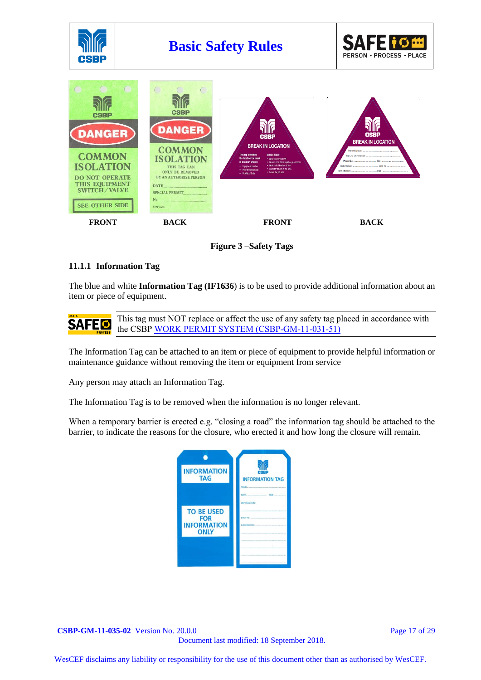

**Figure 3 –Safety Tags**

#### **11.1.1 Information Tag**

The blue and white **Information Tag (IF1636**) is to be used to provide additional information about an item or piece of equipment.

This tag must NOT replace or affect the use of any safety tag placed in accordance with **SAFED** the CSBP [WORK PERMIT SYSTEM \(CSBP-GM-11-031-51\)](http://docova.wescef.com.au/docova/web/app.php/Docova/wHomeFrame?ReadForm&goto=BACA47AB-D32E-4F16-811E-88F27CE8A09B,4B304F91-95AC-47FE-A61E-D8369A4D4D87,9705570B-6759-47E1-806B-DC1122F65D99&LatestRelease=true)

The Information Tag can be attached to an item or piece of equipment to provide helpful information or maintenance guidance without removing the item or equipment from service

Any person may attach an Information Tag.

The Information Tag is to be removed when the information is no longer relevant.

When a temporary barrier is erected e.g. "closing a road" the information tag should be attached to the barrier, to indicate the reasons for the closure, who erected it and how long the closure will remain.



**CSBP-GM-11-035-02** Version No. 20.0.0 **Page 17 of 29** Page 17 of 29 Document last modified: 18 September 2018.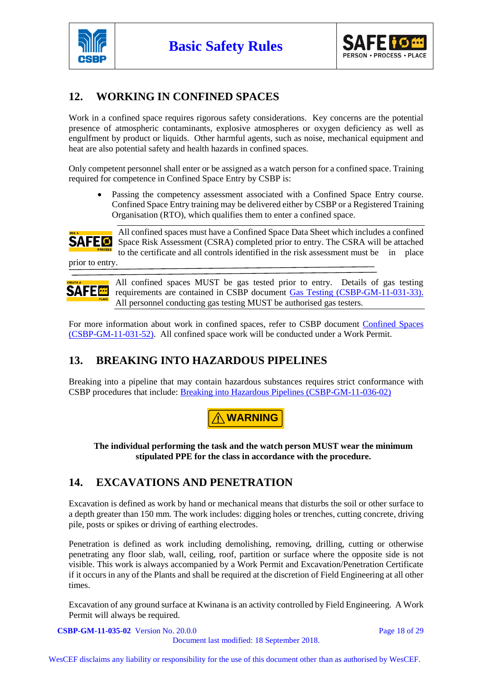



## **12. WORKING IN CONFINED SPACES**

Work in a confined space requires rigorous safety considerations. Key concerns are the potential presence of atmospheric contaminants, explosive atmospheres or oxygen deficiency as well as engulfment by product or liquids. Other harmful agents, such as noise, mechanical equipment and heat are also potential safety and health hazards in confined spaces.

Only competent personnel shall enter or be assigned as a watch person for a confined space. Training required for competence in Confined Space Entry by CSBP is:

Passing the competency assessment associated with a Confined Space Entry course. Confined Space Entry training may be delivered either by CSBP or a Registered Training Organisation (RTO), which qualifies them to enter a confined space.



All confined spaces must have a Confined Space Data Sheet which includes a confined Space Risk Assessment (CSRA) completed prior to entry. The CSRA will be attached to the certificate and all controls identified in the risk assessment must be in place

prior to entry.

**SAFE<sup>E</sup>** 

All confined spaces MUST be gas tested prior to entry. Details of gas testing requirements are contained in CSBP document [Gas Testing \(CSBP-GM-11-031-33\).](http://docova.wescef.com.au/docova/web/app.php/Docova/wHomeFrame?ReadForm&goto=BACA47AB-D32E-4F16-811E-88F27CE8A09B,4B304F91-95AC-47FE-A61E-D8369A4D4D87,77092702-12B6-46D7-9A25-6DC33F9E9AFC&LatestRelease=true)  All personnel conducting gas testing MUST be authorised gas testers.

For more information about work in confined spaces, refer to CSBP document [Confined Spaces](http://docova.wescef.com.au/docova/web/app.php/Docova/wHomeFrame?ReadForm&goto=BACA47AB-D32E-4F16-811E-88F27CE8A09B,4B304F91-95AC-47FE-A61E-D8369A4D4D87,3C3AD030-CCF1-428D-BC35-77DEDDF2AA2B&LatestRelease=true)  [\(CSBP-GM-11-031-52\).](http://docova.wescef.com.au/docova/web/app.php/Docova/wHomeFrame?ReadForm&goto=BACA47AB-D32E-4F16-811E-88F27CE8A09B,4B304F91-95AC-47FE-A61E-D8369A4D4D87,3C3AD030-CCF1-428D-BC35-77DEDDF2AA2B&LatestRelease=true) All confined space work will be conducted under a Work Permit.

## **13. BREAKING INTO HAZARDOUS PIPELINES**

Breaking into a pipeline that may contain hazardous substances requires strict conformance with CSBP procedures that include: [Breaking into Hazardous Pipelines \(CSBP-GM-11-036-02\)](http://docova.wescef.com.au/docova/web/app.php/Docova/wHomeFrame?ReadForm&goto=BACA47AB-D32E-4F16-811E-88F27CE8A09B,4B304F91-95AC-47FE-A61E-D8369A4D4D87,AC778E0A-8298-4BBE-AEB3-5A6FA49BADDD&LatestRelease=true)



**The individual performing the task and the watch person MUST wear the minimum stipulated PPE for the class in accordance with the procedure.**

## **14. EXCAVATIONS AND PENETRATION**

Excavation is defined as work by hand or mechanical means that disturbs the soil or other surface to a depth greater than 150 mm. The work includes: digging holes or trenches, cutting concrete, driving pile, posts or spikes or driving of earthing electrodes.

Penetration is defined as work including demolishing, removing, drilling, cutting or otherwise penetrating any floor slab, wall, ceiling, roof, partition or surface where the opposite side is not visible. This work is always accompanied by a Work Permit and Excavation/Penetration Certificate if it occurs in any of the Plants and shall be required at the discretion of Field Engineering at all other times.

Excavation of any ground surface at Kwinana is an activity controlled by Field Engineering. A Work Permit will always be required.

**CSBP-GM-11-035-02** Version No. 20.0.0 **Page 18 of 29** Page 18 of 29 Document last modified: 18 September 2018.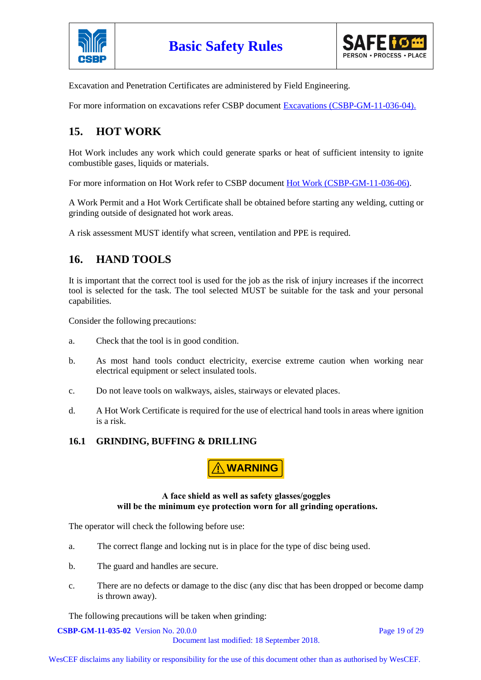



Excavation and Penetration Certificates are administered by Field Engineering.

For more information on excavations refer CSBP document [Excavations \(CSBP-GM-11-036-04\).](http://docova.wescef.com.au/docova/web/app.php/Docova/wHomeFrame?ReadForm&goto=BACA47AB-D32E-4F16-811E-88F27CE8A09B,4B304F91-95AC-47FE-A61E-D8369A4D4D87,F01C415E-961C-45D2-B29F-D8A244533DD8&LatestRelease=true)

## **15. HOT WORK**

Hot Work includes any work which could generate sparks or heat of sufficient intensity to ignite combustible gases, liquids or materials.

For more information on Hot Work refer to CSBP document [Hot Work \(CSBP-GM-11-036-06\).](http://docova.wescef.com.au/docova/web/app.php/Docova/wHomeFrame?ReadForm&goto=BACA47AB-D32E-4F16-811E-88F27CE8A09B,4B304F91-95AC-47FE-A61E-D8369A4D4D87,AE7E2EBB-BF0D-46A7-B0A7-FBC0BB785504&LatestRelease=true)

A Work Permit and a Hot Work Certificate shall be obtained before starting any welding, cutting or grinding outside of designated hot work areas.

A risk assessment MUST identify what screen, ventilation and PPE is required.

## **16. HAND TOOLS**

It is important that the correct tool is used for the job as the risk of injury increases if the incorrect tool is selected for the task. The tool selected MUST be suitable for the task and your personal capabilities.

Consider the following precautions:

- a. Check that the tool is in good condition.
- b. As most hand tools conduct electricity, exercise extreme caution when working near electrical equipment or select insulated tools.
- c. Do not leave tools on walkways, aisles, stairways or elevated places.
- d. A Hot Work Certificate is required for the use of electrical hand tools in areas where ignition is a risk.

#### **16.1 GRINDING, BUFFING & DRILLING**

**! WARNING**

#### **A face shield as well as safety glasses/goggles will be the minimum eye protection worn for all grinding operations.**

The operator will check the following before use:

- a. The correct flange and locking nut is in place for the type of disc being used.
- b. The guard and handles are secure.
- c. There are no defects or damage to the disc (any disc that has been dropped or become damp is thrown away).

The following precautions will be taken when grinding:

**CSBP-GM-11-035-02** Version No. 20.0.0 **Page 19 of 29** Page 19 of 29

Document last modified: 18 September 2018.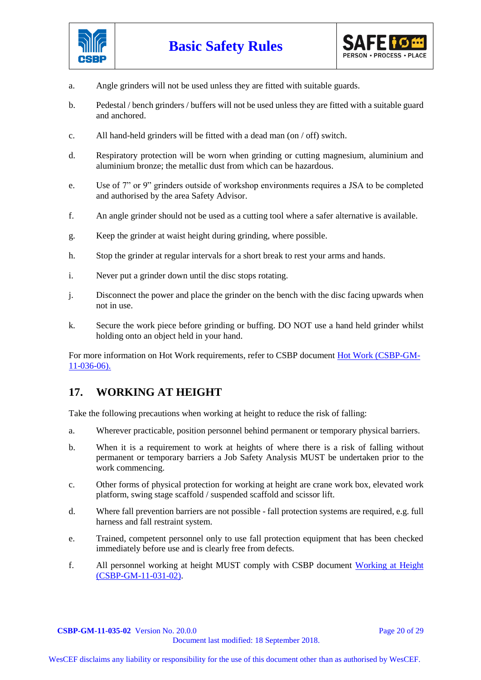



- a. Angle grinders will not be used unless they are fitted with suitable guards.
- b. Pedestal / bench grinders / buffers will not be used unless they are fitted with a suitable guard and anchored.
- c. All hand-held grinders will be fitted with a dead man (on / off) switch.
- d. Respiratory protection will be worn when grinding or cutting magnesium, aluminium and aluminium bronze; the metallic dust from which can be hazardous.
- e. Use of 7" or 9" grinders outside of workshop environments requires a JSA to be completed and authorised by the area Safety Advisor.
- f. An angle grinder should not be used as a cutting tool where a safer alternative is available.
- g. Keep the grinder at waist height during grinding, where possible.
- h. Stop the grinder at regular intervals for a short break to rest your arms and hands.
- i. Never put a grinder down until the disc stops rotating.
- j. Disconnect the power and place the grinder on the bench with the disc facing upwards when not in use.
- k. Secure the work piece before grinding or buffing. DO NOT use a hand held grinder whilst holding onto an object held in your hand.

For more information on Hot Work requirements, refer to CSBP document [Hot Work \(CSBP-GM-](http://docova.wescef.com.au/docova/web/app.php/Docova/wHomeFrame?ReadForm&goto=BACA47AB-D32E-4F16-811E-88F27CE8A09B,4B304F91-95AC-47FE-A61E-D8369A4D4D87,AE7E2EBB-BF0D-46A7-B0A7-FBC0BB785504&LatestRelease=true)[11-036-06\).](http://docova.wescef.com.au/docova/web/app.php/Docova/wHomeFrame?ReadForm&goto=BACA47AB-D32E-4F16-811E-88F27CE8A09B,4B304F91-95AC-47FE-A61E-D8369A4D4D87,AE7E2EBB-BF0D-46A7-B0A7-FBC0BB785504&LatestRelease=true)

## **17. WORKING AT HEIGHT**

Take the following precautions when working at height to reduce the risk of falling:

- a. Wherever practicable, position personnel behind permanent or temporary physical barriers.
- b. When it is a requirement to work at heights of where there is a risk of falling without permanent or temporary barriers a Job Safety Analysis MUST be undertaken prior to the work commencing.
- c. Other forms of physical protection for working at height are crane work box, elevated work platform, swing stage scaffold / suspended scaffold and scissor lift.
- d. Where fall prevention barriers are not possible fall protection systems are required, e.g. full harness and fall restraint system.
- e. Trained, competent personnel only to use fall protection equipment that has been checked immediately before use and is clearly free from defects.
- f. All personnel working at height MUST comply with CSBP document [Working at Height](http://docova.wescef.com.au/docova/web/app.php/Docova/wHomeFrame?ReadForm&goto=BACA47AB-D32E-4F16-811E-88F27CE8A09B,4B304F91-95AC-47FE-A61E-D8369A4D4D87,CD4B9005-9DAD-4F4C-9F23-E74FF2E59B63&LatestRelease=true)  [\(CSBP-GM-11-031-02\).](http://docova.wescef.com.au/docova/web/app.php/Docova/wHomeFrame?ReadForm&goto=BACA47AB-D32E-4F16-811E-88F27CE8A09B,4B304F91-95AC-47FE-A61E-D8369A4D4D87,CD4B9005-9DAD-4F4C-9F23-E74FF2E59B63&LatestRelease=true)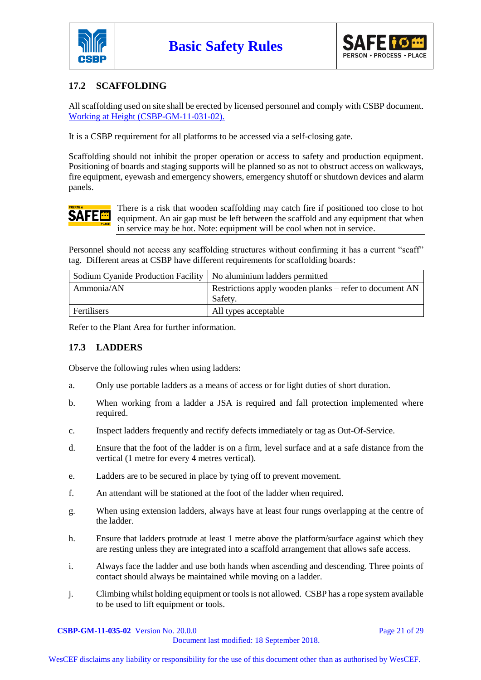



## **17.2 SCAFFOLDING**

All scaffolding used on site shall be erected by licensed personnel and comply with CSBP document. [Working at Height \(CSBP-GM-11-031-02\).](http://docova.wescef.com.au/docova/web/app.php/Docova/wHomeFrame?ReadForm&goto=BACA47AB-D32E-4F16-811E-88F27CE8A09B,4B304F91-95AC-47FE-A61E-D8369A4D4D87,CD4B9005-9DAD-4F4C-9F23-E74FF2E59B63&LatestRelease=true)

It is a CSBP requirement for all platforms to be accessed via a self-closing gate.

Scaffolding should not inhibit the proper operation or access to safety and production equipment. Positioning of boards and staging supports will be planned so as not to obstruct access on walkways, fire equipment, eyewash and emergency showers, emergency shutoff or shutdown devices and alarm panels.

# **SAFE®**

There is a risk that wooden scaffolding may catch fire if positioned too close to hot equipment. An air gap must be left between the scaffold and any equipment that when in service may be hot. Note: equipment will be cool when not in service.

Personnel should not access any scaffolding structures without confirming it has a current "scaff" tag. Different areas at CSBP have different requirements for scaffolding boards:

| Sodium Cyanide Production Facility   No aluminium ladders permitted |                                                         |
|---------------------------------------------------------------------|---------------------------------------------------------|
| Ammonia/AN                                                          | Restrictions apply wooden planks – refer to document AN |
|                                                                     | Safety.                                                 |
| Fertilisers                                                         | All types acceptable                                    |

Refer to the Plant Area for further information.

#### **17.3 LADDERS**

Observe the following rules when using ladders:

- a. Only use portable ladders as a means of access or for light duties of short duration.
- b. When working from a ladder a JSA is required and fall protection implemented where required.
- c. Inspect ladders frequently and rectify defects immediately or tag as Out-Of-Service.
- d. Ensure that the foot of the ladder is on a firm, level surface and at a safe distance from the vertical (1 metre for every 4 metres vertical).
- e. Ladders are to be secured in place by tying off to prevent movement.
- f. An attendant will be stationed at the foot of the ladder when required.
- g. When using extension ladders, always have at least four rungs overlapping at the centre of the ladder.
- h. Ensure that ladders protrude at least 1 metre above the platform/surface against which they are resting unless they are integrated into a scaffold arrangement that allows safe access.
- i. Always face the ladder and use both hands when ascending and descending. Three points of contact should always be maintained while moving on a ladder.
- j. Climbing whilst holding equipment or tools is not allowed. CSBP has a rope system available to be used to lift equipment or tools.

## **CSBP-GM-11-035-02** Version No. 20.0.0 **Page 21 of 29** Page 21 of 29

Document last modified: 18 September 2018.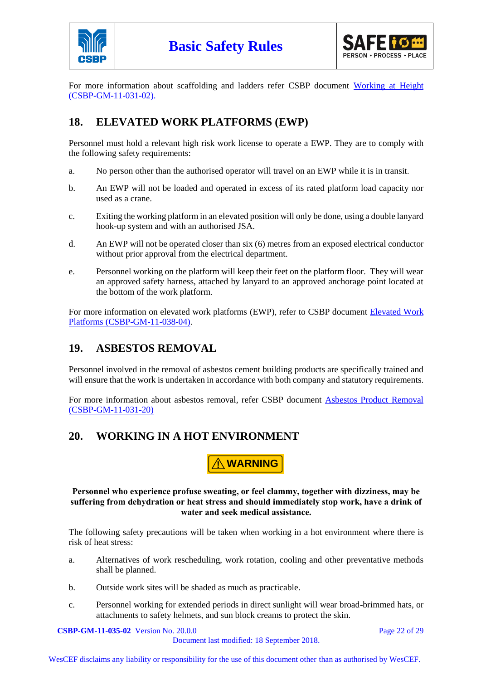



For more information about scaffolding and ladders refer CSBP document [Working at Height](http://docova.wescef.com.au/docova/web/app.php/Docova/wHomeFrame?ReadForm&goto=BACA47AB-D32E-4F16-811E-88F27CE8A09B,4B304F91-95AC-47FE-A61E-D8369A4D4D87,CD4B9005-9DAD-4F4C-9F23-E74FF2E59B63&LatestRelease=true)  [\(CSBP-GM-11-031-02\).](http://docova.wescef.com.au/docova/web/app.php/Docova/wHomeFrame?ReadForm&goto=BACA47AB-D32E-4F16-811E-88F27CE8A09B,4B304F91-95AC-47FE-A61E-D8369A4D4D87,CD4B9005-9DAD-4F4C-9F23-E74FF2E59B63&LatestRelease=true)

## **18. ELEVATED WORK PLATFORMS (EWP)**

Personnel must hold a relevant high risk work license to operate a EWP. They are to comply with the following safety requirements:

- a. No person other than the authorised operator will travel on an EWP while it is in transit.
- b. An EWP will not be loaded and operated in excess of its rated platform load capacity nor used as a crane.
- c. Exiting the working platform in an elevated position will only be done, using a double lanyard hook-up system and with an authorised JSA.
- d. An EWP will not be operated closer than six (6) metres from an exposed electrical conductor without prior approval from the electrical department.
- e. Personnel working on the platform will keep their feet on the platform floor. They will wear an approved safety harness, attached by lanyard to an approved anchorage point located at the bottom of the work platform.

For more information on elevated work platforms (EWP), refer to CSBP document [Elevated Work](http://docova.wescef.com.au/docova/web/app.php/Docova/wHomeFrame?ReadForm&goto=9D2D1B6E-19E1-446A-81B4-D9516EFF1805,DE2BD537-0C52-4746-8D3D-8554DF2359E0,A4927504-DFE4-4DEA-AB1A-3E3DF4D37FAB&LatestRelease=true)  [Platforms \(CSBP-GM-11-038-04\).](http://docova.wescef.com.au/docova/web/app.php/Docova/wHomeFrame?ReadForm&goto=9D2D1B6E-19E1-446A-81B4-D9516EFF1805,DE2BD537-0C52-4746-8D3D-8554DF2359E0,A4927504-DFE4-4DEA-AB1A-3E3DF4D37FAB&LatestRelease=true)

## **19. ASBESTOS REMOVAL**

Personnel involved in the removal of asbestos cement building products are specifically trained and will ensure that the work is undertaken in accordance with both company and statutory requirements.

For more information about asbestos removal, refer CSBP document [Asbestos Product Removal](http://docova.wescef.com.au/docova/web/app.php/Docova/wHomeFrame?ReadForm&goto=9D2D1B6E-19E1-446A-81B4-D9516EFF1805,0E9C4907-907D-417F-94B6-39B6F22F0BDC,E839E14E-4B73-43DB-AF42-16CD07FBDF66&LatestRelease=true)  [\(CSBP-GM-11-031-20\)](http://docova.wescef.com.au/docova/web/app.php/Docova/wHomeFrame?ReadForm&goto=9D2D1B6E-19E1-446A-81B4-D9516EFF1805,0E9C4907-907D-417F-94B6-39B6F22F0BDC,E839E14E-4B73-43DB-AF42-16CD07FBDF66&LatestRelease=true)

## **20. WORKING IN A HOT ENVIRONMENT**

**! WARNING**

**Personnel who experience profuse sweating, or feel clammy, together with dizziness, may be suffering from dehydration or heat stress and should immediately stop work, have a drink of water and seek medical assistance.**

The following safety precautions will be taken when working in a hot environment where there is risk of heat stress:

- a. Alternatives of work rescheduling, work rotation, cooling and other preventative methods shall be planned.
- b. Outside work sites will be shaded as much as practicable.
- c. Personnel working for extended periods in direct sunlight will wear broad-brimmed hats, or attachments to safety helmets, and sun block creams to protect the skin.

**CSBP-GM-11-035-02** Version No. 20.0.0 Page 22 of 29

Document last modified: 18 September 2018.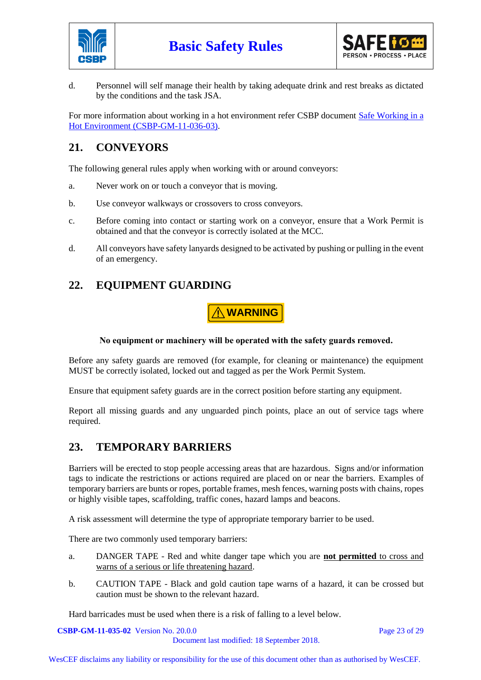



d. Personnel will self manage their health by taking adequate drink and rest breaks as dictated by the conditions and the task JSA.

For more information about working in a hot environment refer CSBP document Safe Working in a [Hot Environment \(CSBP-GM-11-036-03\).](http://docova.wescef.com.au/docova/web/app.php/Docova/wHomeFrame?ReadForm&goto=9D2D1B6E-19E1-446A-81B4-D9516EFF1805,0E9C4907-907D-417F-94B6-39B6F22F0BDC,96071622-2142-4D34-8BA7-5FFECDA01217&LatestRelease=true)

## **21. CONVEYORS**

The following general rules apply when working with or around conveyors:

- a. Never work on or touch a conveyor that is moving.
- b. Use conveyor walkways or crossovers to cross conveyors.
- c. Before coming into contact or starting work on a conveyor, ensure that a Work Permit is obtained and that the conveyor is correctly isolated at the MCC.
- d. All conveyors have safety lanyards designed to be activated by pushing or pulling in the event of an emergency.

## **22. EQUIPMENT GUARDING**

**! WARNING**

#### **No equipment or machinery will be operated with the safety guards removed.**

Before any safety guards are removed (for example, for cleaning or maintenance) the equipment MUST be correctly isolated, locked out and tagged as per the Work Permit System.

Ensure that equipment safety guards are in the correct position before starting any equipment.

Report all missing guards and any unguarded pinch points, place an out of service tags where required.

## **23. TEMPORARY BARRIERS**

Barriers will be erected to stop people accessing areas that are hazardous. Signs and/or information tags to indicate the restrictions or actions required are placed on or near the barriers. Examples of temporary barriers are bunts or ropes, portable frames, mesh fences, warning posts with chains, ropes or highly visible tapes, scaffolding, traffic cones, hazard lamps and beacons.

A risk assessment will determine the type of appropriate temporary barrier to be used.

There are two commonly used temporary barriers:

- a. DANGER TAPE Red and white danger tape which you are **not permitted** to cross and warns of a serious or life threatening hazard.
- b. CAUTION TAPE Black and gold caution tape warns of a hazard, it can be crossed but caution must be shown to the relevant hazard.

Hard barricades must be used when there is a risk of falling to a level below.

**CSBP-GM-11-035-02** Version No. 20.0.0 **Page 23 of 29** Page 23 of 29

Document last modified: 18 September 2018.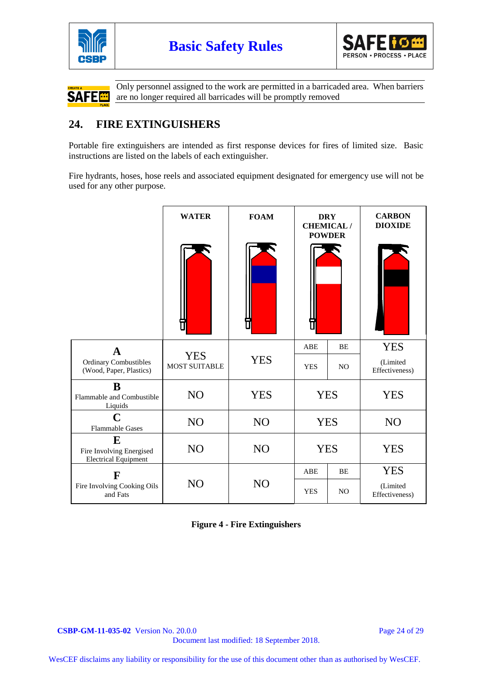





Only personnel assigned to the work are permitted in a barricaded area. When barriers are no longer required all barricades will be promptly removed

## **24. FIRE EXTINGUISHERS**

Portable fire extinguishers are intended as first response devices for fires of limited size. Basic instructions are listed on the labels of each extinguisher.

Fire hydrants, hoses, hose reels and associated equipment designated for emergency use will not be used for any other purpose.

|                                                              | <b>WATER</b>         | <b>FOAM</b>     | <b>POWDER</b> | <b>DRY</b><br><b>CHEMICAL/</b> | <b>CARBON</b><br><b>DIOXIDE</b> |
|--------------------------------------------------------------|----------------------|-----------------|---------------|--------------------------------|---------------------------------|
|                                                              |                      |                 |               |                                |                                 |
| $\mathbf{A}$                                                 | <b>YES</b>           |                 | ABE           | BE                             | <b>YES</b>                      |
| <b>Ordinary Combustibles</b><br>(Wood, Paper, Plastics)      | <b>MOST SUITABLE</b> | <b>YES</b>      | <b>YES</b>    | NO.                            | (Limited<br>Effectiveness)      |
| B<br>Flammable and Combustible<br>Liquids                    | N <sub>O</sub>       | <b>YES</b>      | <b>YES</b>    |                                | <b>YES</b>                      |
| $\mathbf C$<br><b>Flammable Gases</b>                        | NO                   | NO <sub>1</sub> | <b>YES</b>    |                                | NO                              |
| E<br>Fire Involving Energised<br><b>Electrical Equipment</b> | N <sub>O</sub>       | N <sub>O</sub>  | <b>YES</b>    |                                | <b>YES</b>                      |
| F                                                            |                      |                 | ABE           | BE                             | <b>YES</b>                      |
| Fire Involving Cooking Oils<br>and Fats                      | NO                   | N <sub>O</sub>  | <b>YES</b>    | NO.                            | (Limited<br>Effectiveness)      |

**Figure 4 - Fire Extinguishers**

**CSBP-GM-11-035-02** Version No. 20.0.0 Page 24 of 29

Document last modified: 18 September 2018.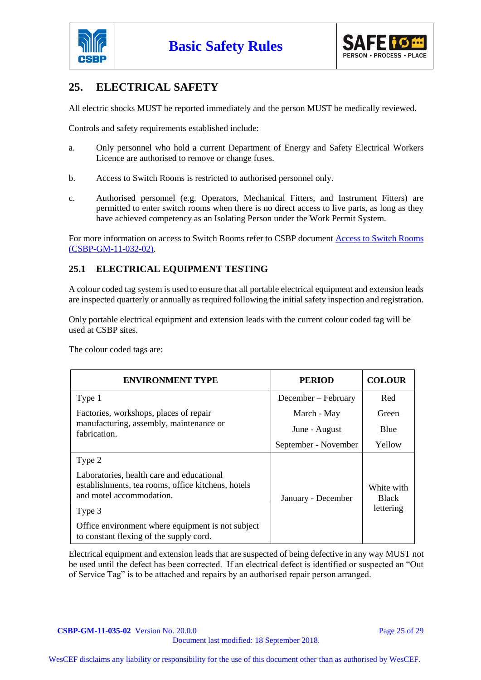



## **25. ELECTRICAL SAFETY**

All electric shocks MUST be reported immediately and the person MUST be medically reviewed.

Controls and safety requirements established include:

- a. Only personnel who hold a current Department of Energy and Safety Electrical Workers Licence are authorised to remove or change fuses.
- b. Access to Switch Rooms is restricted to authorised personnel only.
- c. Authorised personnel (e.g. Operators, Mechanical Fitters, and Instrument Fitters) are permitted to enter switch rooms when there is no direct access to live parts, as long as they have achieved competency as an Isolating Person under the Work Permit System.

For more information on access to Switch Rooms refer to CSBP document [Access to Switch Rooms](http://docova.wescef.com.au/docova/web/app.php/Docova/wHomeFrame?ReadForm&goto=9D2D1B6E-19E1-446A-81B4-D9516EFF1805,0E9C4907-907D-417F-94B6-39B6F22F0BDC,ACC90081-1D15-4526-A9FC-7494D8BA8702&LatestRelease=true)  [\(CSBP-GM-11-032-02\).](http://docova.wescef.com.au/docova/web/app.php/Docova/wHomeFrame?ReadForm&goto=9D2D1B6E-19E1-446A-81B4-D9516EFF1805,0E9C4907-907D-417F-94B6-39B6F22F0BDC,ACC90081-1D15-4526-A9FC-7494D8BA8702&LatestRelease=true)

#### **25.1 ELECTRICAL EQUIPMENT TESTING**

A colour coded tag system is used to ensure that all portable electrical equipment and extension leads are inspected quarterly or annually as required following the initial safety inspection and registration.

Only portable electrical equipment and extension leads with the current colour coded tag will be used at CSBP sites.

The colour coded tags are:

| <b>ENVIRONMENT TYPE</b>                                                                                                     | <b>PERIOD</b>        | <b>COLOUR</b>              |
|-----------------------------------------------------------------------------------------------------------------------------|----------------------|----------------------------|
| Type 1                                                                                                                      | December – February  | Red                        |
| Factories, workshops, places of repair                                                                                      | March - May          | Green                      |
| manufacturing, assembly, maintenance or<br>fabrication.                                                                     | June - August        | Blue                       |
|                                                                                                                             | September - November | Yellow                     |
| Type 2                                                                                                                      |                      | White with<br><b>Black</b> |
| Laboratories, health care and educational<br>establishments, tea rooms, office kitchens, hotels<br>and motel accommodation. | January - December   |                            |
| Type 3                                                                                                                      |                      | lettering                  |
| Office environment where equipment is not subject<br>to constant flexing of the supply cord.                                |                      |                            |

Electrical equipment and extension leads that are suspected of being defective in any way MUST not be used until the defect has been corrected. If an electrical defect is identified or suspected an "Out of Service Tag" is to be attached and repairs by an authorised repair person arranged.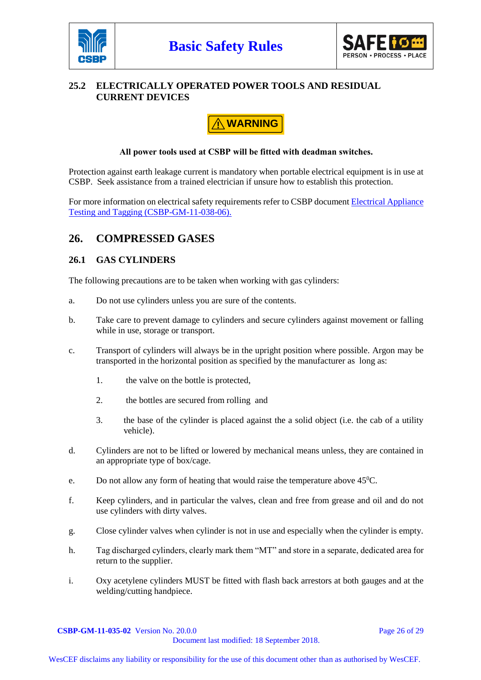



#### **25.2 ELECTRICALLY OPERATED POWER TOOLS AND RESIDUAL CURRENT DEVICES**

# **! WARNING**

#### **All power tools used at CSBP will be fitted with deadman switches.**

Protection against earth leakage current is mandatory when portable electrical equipment is in use at CSBP. Seek assistance from a trained electrician if unsure how to establish this protection.

For more information on electrical safety requirements refer to CSBP document [Electrical Appliance](http://docova.wescef.com.au/docova/web/app.php/Docova/wHomeFrame?ReadForm&goto=9D2D1B6E-19E1-446A-81B4-D9516EFF1805,0E9C4907-907D-417F-94B6-39B6F22F0BDC,349C48FE-6551-42F6-85AC-A9BDC4D6320F&LatestRelease=true)  [Testing and Tagging \(CSBP-GM-11-038-06\).](http://docova.wescef.com.au/docova/web/app.php/Docova/wHomeFrame?ReadForm&goto=9D2D1B6E-19E1-446A-81B4-D9516EFF1805,0E9C4907-907D-417F-94B6-39B6F22F0BDC,349C48FE-6551-42F6-85AC-A9BDC4D6320F&LatestRelease=true)

## **26. COMPRESSED GASES**

#### **26.1 GAS CYLINDERS**

The following precautions are to be taken when working with gas cylinders:

- a. Do not use cylinders unless you are sure of the contents.
- b. Take care to prevent damage to cylinders and secure cylinders against movement or falling while in use, storage or transport.
- c. Transport of cylinders will always be in the upright position where possible. Argon may be transported in the horizontal position as specified by the manufacturer as long as:
	- 1. the valve on the bottle is protected,
	- 2. the bottles are secured from rolling and
	- 3. the base of the cylinder is placed against the a solid object (i.e. the cab of a utility vehicle).
- d. Cylinders are not to be lifted or lowered by mechanical means unless, they are contained in an appropriate type of box/cage.
- e. Do not allow any form of heating that would raise the temperature above  $45^{\circ}$ C.
- f. Keep cylinders, and in particular the valves, clean and free from grease and oil and do not use cylinders with dirty valves.
- g. Close cylinder valves when cylinder is not in use and especially when the cylinder is empty.
- h. Tag discharged cylinders, clearly mark them "MT" and store in a separate, dedicated area for return to the supplier.
- i. Oxy acetylene cylinders MUST be fitted with flash back arrestors at both gauges and at the welding/cutting handpiece.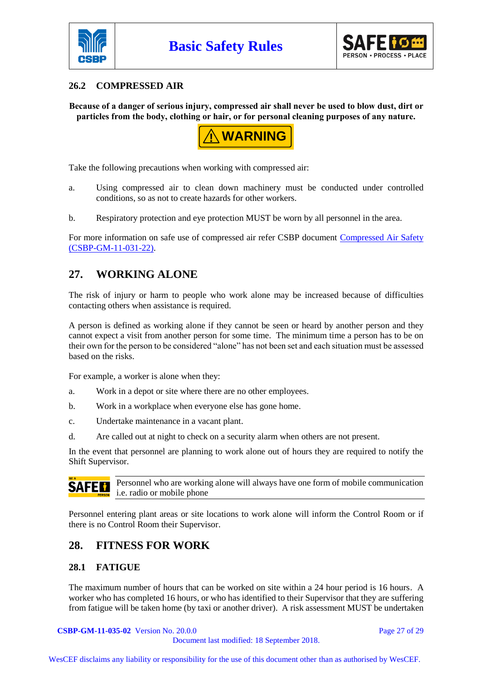



#### **26.2 COMPRESSED AIR**

**Because of a danger of serious injury, compressed air shall never be used to blow dust, dirt or particles from the body, clothing or hair, or for personal cleaning purposes of any nature.**



Take the following precautions when working with compressed air:

- a. Using compressed air to clean down machinery must be conducted under controlled conditions, so as not to create hazards for other workers.
- b. Respiratory protection and eye protection MUST be worn by all personnel in the area.

For more information on safe use of compressed air refer CSBP document [Compressed Air Safety](http://docova.wescef.com.au/docova/web/app.php/Docova/wHomeFrame?ReadForm&goto=9D2D1B6E-19E1-446A-81B4-D9516EFF1805,0E9C4907-907D-417F-94B6-39B6F22F0BDC,F98210F2-7F0C-4137-9495-757ADCC924B3&LatestRelease=true)  [\(CSBP-GM-11-031-22\).](http://docova.wescef.com.au/docova/web/app.php/Docova/wHomeFrame?ReadForm&goto=9D2D1B6E-19E1-446A-81B4-D9516EFF1805,0E9C4907-907D-417F-94B6-39B6F22F0BDC,F98210F2-7F0C-4137-9495-757ADCC924B3&LatestRelease=true)

## **27. WORKING ALONE**

The risk of injury or harm to people who work alone may be increased because of difficulties contacting others when assistance is required.

A person is defined as working alone if they cannot be seen or heard by another person and they cannot expect a visit from another person for some time. The minimum time a person has to be on their own for the person to be considered "alone" has not been set and each situation must be assessed based on the risks.

For example, a worker is alone when they:

- a. Work in a depot or site where there are no other employees.
- b. Work in a workplace when everyone else has gone home.
- c. Undertake maintenance in a vacant plant.
- d. Are called out at night to check on a security alarm when others are not present.

In the event that personnel are planning to work alone out of hours they are required to notify the Shift Supervisor.

Personnel who are working alone will always have one form of mobile communication SAFER i.e. radio or mobile phone

Personnel entering plant areas or site locations to work alone will inform the Control Room or if there is no Control Room their Supervisor.

#### **28. FITNESS FOR WORK**

#### **28.1 FATIGUE**

The maximum number of hours that can be worked on site within a 24 hour period is 16 hours. A worker who has completed 16 hours, or who has identified to their Supervisor that they are suffering from fatigue will be taken home (by taxi or another driver). A risk assessment MUST be undertaken

**CSBP-GM-11-035-02** Version No. 20.0.0 **Page 27 of 29** Page 27 of 29

Document last modified: 18 September 2018.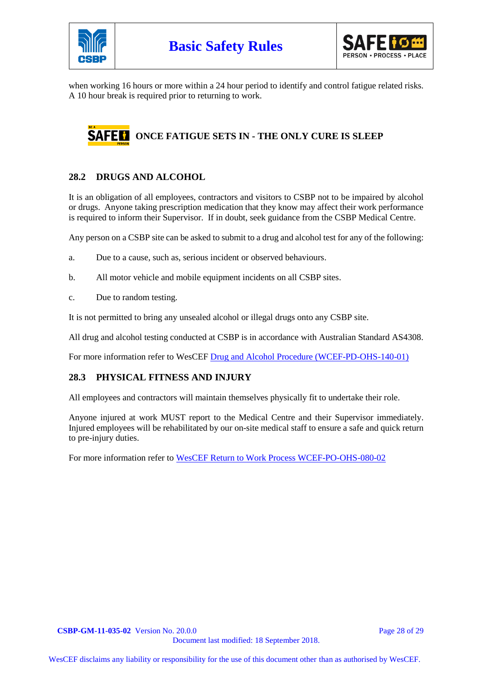



when working 16 hours or more within a 24 hour period to identify and control fatigue related risks. A 10 hour break is required prior to returning to work.

# **SAFE CONCE FATIGUE SETS IN - THE ONLY CURE IS SLEEP**

#### **28.2 DRUGS AND ALCOHOL**

It is an obligation of all employees, contractors and visitors to CSBP not to be impaired by alcohol or drugs. Anyone taking prescription medication that they know may affect their work performance is required to inform their Supervisor. If in doubt, seek guidance from the CSBP Medical Centre.

Any person on a CSBP site can be asked to submit to a drug and alcohol test for any of the following:

- a. Due to a cause, such as, serious incident or observed behaviours.
- b. All motor vehicle and mobile equipment incidents on all CSBP sites.
- c. Due to random testing.

It is not permitted to bring any unsealed alcohol or illegal drugs onto any CSBP site.

All drug and alcohol testing conducted at CSBP is in accordance with Australian Standard AS4308.

For more information refer to WesCEF Drug and [Alcohol Procedure \(WCEF-PD-OHS-140-01\)](http://docova.wescef.com.au/docova/web/app.php/Docova/wHomeFrame?ReadForm&goto=2C255649-1ECA-4635-8EB7-F6885E3B4B0E,9B1C527B-C3C0-41EC-B222-FB561A879603,1ADF5FA5-3240-4DD1-BED9-643039D1E316&LatestRelease=true)

#### **28.3 PHYSICAL FITNESS AND INJURY**

All employees and contractors will maintain themselves physically fit to undertake their role.

Anyone injured at work MUST report to the Medical Centre and their Supervisor immediately. Injured employees will be rehabilitated by our on-site medical staff to ensure a safe and quick return to pre-injury duties.

For more information refer to [WesCEF Return to Work Process WCEF-PO-OHS-080-02](http://docova.wescef.com.au/docova/web/app.php/Docova/wHomeFrame?ReadForm&goto=2C255649-1ECA-4635-8EB7-F6885E3B4B0E,6963DF4F-EBE2-4FF3-91D1-9B265F09E900,C175F253-2673-4203-AAA9-C3E9BDBD0AE8&LatestRelease=true)